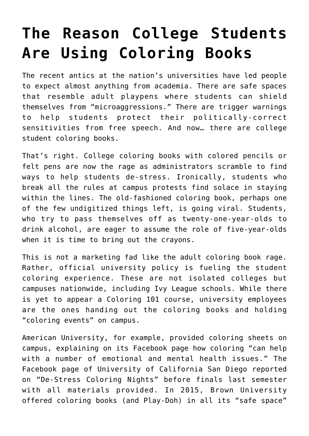## **[The Reason College Students](https://intellectualtakeout.org/2016/10/the-reason-college-students-are-using-coloring-books/) [Are Using Coloring Books](https://intellectualtakeout.org/2016/10/the-reason-college-students-are-using-coloring-books/)**

The recent antics at the nation's universities have led people to expect almost anything from academia. There are safe spaces that resemble adult playpens where students can shield themselves from "microaggressions." There are trigger warnings to help students protect their politically-correct sensitivities from free speech. And now… there are college student coloring books.

That's right. College coloring books with colored pencils or felt pens are now the rage as administrators scramble to find ways to help students de-stress. Ironically, students who break all the rules at campus protests find solace in staying within the lines. The old-fashioned coloring book, perhaps one of the few undigitized things left, is going viral. Students, who try to pass themselves off as twenty-one-year-olds to drink alcohol, are eager to assume the role of five-year-olds when it is time to bring out the crayons.

This is not a marketing fad like the adult coloring book rage. Rather, official university policy is fueling the student coloring experience. These are not isolated colleges but campuses nationwide, including Ivy League schools. While there is yet to appear a Coloring 101 course, university employees are the ones handing out the coloring books and holding "coloring events" on campus.

American University, for example, provided coloring sheets on campus, explaining on its Facebook page how coloring "can help with a number of emotional and mental health issues." The Facebook page of University of California San Diego reported on "De-Stress Coloring Nights" before finals last semester with all materials provided. In 2015, Brown University offered coloring books (and Play-Doh) in all its "safe space"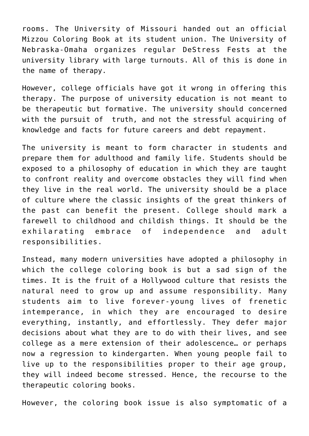rooms. The University of Missouri handed out an official Mizzou Coloring Book at its student union. The University of Nebraska-Omaha organizes regular DeStress Fests at the university library with large turnouts. All of this is done in the name of therapy.

However, college officials have got it wrong in offering this therapy. The purpose of university education is not meant to be therapeutic but formative. The university should concerned with the pursuit of truth, and not the stressful acquiring of knowledge and facts for future careers and debt repayment.

The university is meant to form character in students and prepare them for adulthood and family life. Students should be exposed to a philosophy of education in which they are taught to confront reality and overcome obstacles they will find when they live in the real world. The university should be a place of culture where the classic insights of the great thinkers of the past can benefit the present. College should mark a farewell to childhood and childish things. It should be the exhilarating embrace of independence and adult responsibilities.

Instead, many modern universities have adopted a philosophy in which the college coloring book is but a sad sign of the times. It is the fruit of a Hollywood culture that resists the natural need to grow up and assume responsibility. Many students aim to live forever-young lives of frenetic intemperance, in which they are encouraged to desire everything, instantly, and effortlessly. They defer major decisions about what they are to do with their lives, and see college as a mere extension of their adolescence… or perhaps now a regression to kindergarten. When young people fail to live up to the responsibilities proper to their age group, they will indeed become stressed. Hence, the recourse to the therapeutic coloring books.

However, the coloring book issue is also symptomatic of a